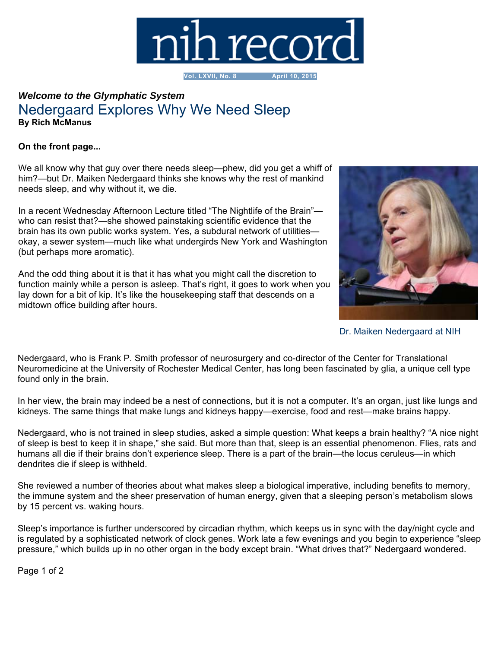

**Vol. LXVII, No. 8 April 10, 2015**

## *Welcome to the Glymphatic System* Nedergaard Explores Why We Need Sleep **By Rich McManus**

## **On the front page...**

We all know why that guy over there needs sleep—phew, did you get a whiff of him?—but Dr. Maiken Nedergaard thinks she knows why the rest of mankind needs sleep, and why without it, we die.

In a recent Wednesday Afternoon Lecture titled "The Nightlife of the Brain" who can resist that?—she showed painstaking scientific evidence that the brain has its own public works system. Yes, a subdural network of utilities okay, a sewer system—much like what undergirds New York and Washington (but perhaps more aromatic).

And the odd thing about it is that it has what you might call the discretion to function mainly while a person is asleep. That's right, it goes to work when you lay down for a bit of kip. It's like the housekeeping staff that descends on a midtown office building after hours.



Dr. Maiken Nedergaard at NIH

Nedergaard, who is Frank P. Smith professor of neurosurgery and co-director of the Center for Translational Neuromedicine at the University of Rochester Medical Center, has long been fascinated by glia, a unique cell type found only in the brain.

In her view, the brain may indeed be a nest of connections, but it is not a computer. It's an organ, just like lungs and kidneys. The same things that make lungs and kidneys happy—exercise, food and rest—make brains happy.

Nedergaard, who is not trained in sleep studies, asked a simple question: What keeps a brain healthy? "A nice night of sleep is best to keep it in shape," she said. But more than that, sleep is an essential phenomenon. Flies, rats and humans all die if their brains don't experience sleep. There is a part of the brain—the locus ceruleus—in which dendrites die if sleep is withheld.

She reviewed a number of theories about what makes sleep a biological imperative, including benefits to memory, the immune system and the sheer preservation of human energy, given that a sleeping person's metabolism slows by 15 percent vs. waking hours.

Sleep's importance is further underscored by circadian rhythm, which keeps us in sync with the day/night cycle and is regulated by a sophisticated network of clock genes. Work late a few evenings and you begin to experience "sleep pressure," which builds up in no other organ in the body except brain. "What drives that?" Nedergaard wondered.

Page 1 of 2